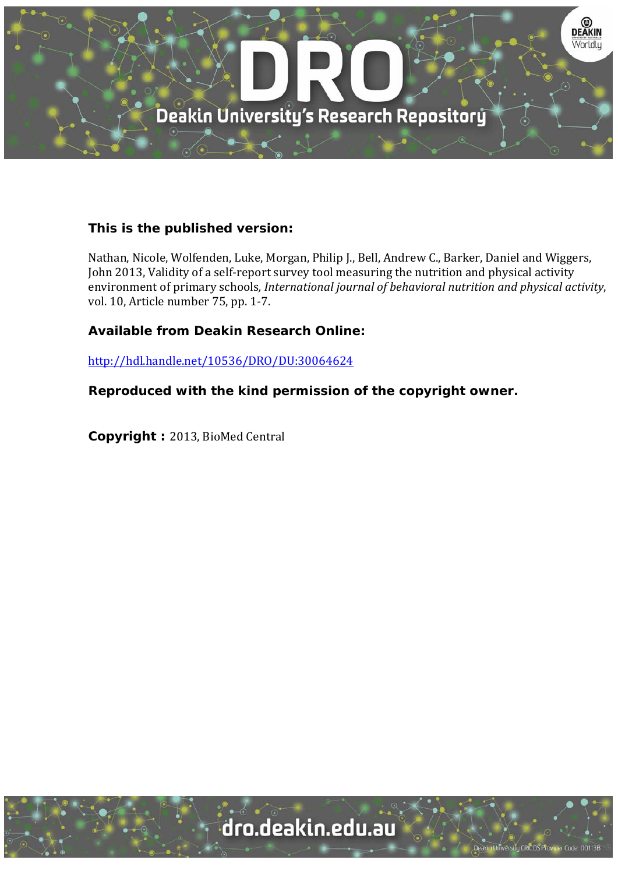

# **This is the published version:**

Nathan, Nicole, Wolfenden, Luke, Morgan, Philip J., Bell, Andrew C., Barker, Daniel and Wiggers, John 2013, Validity of a self-report survey tool measuring the nutrition and physical activity environment of primary schools*, International journal of behavioral nutrition and physical activity*, vol. 10, Article number 75, pp. 1-7.

# **Available from Deakin Research Online:**

http://hdl.handle.net/10536/DRO/DU:30064624

**Reproduced with the kind permission of the copyright owner.** 

**Copyright : 2013, BioMed Central** 

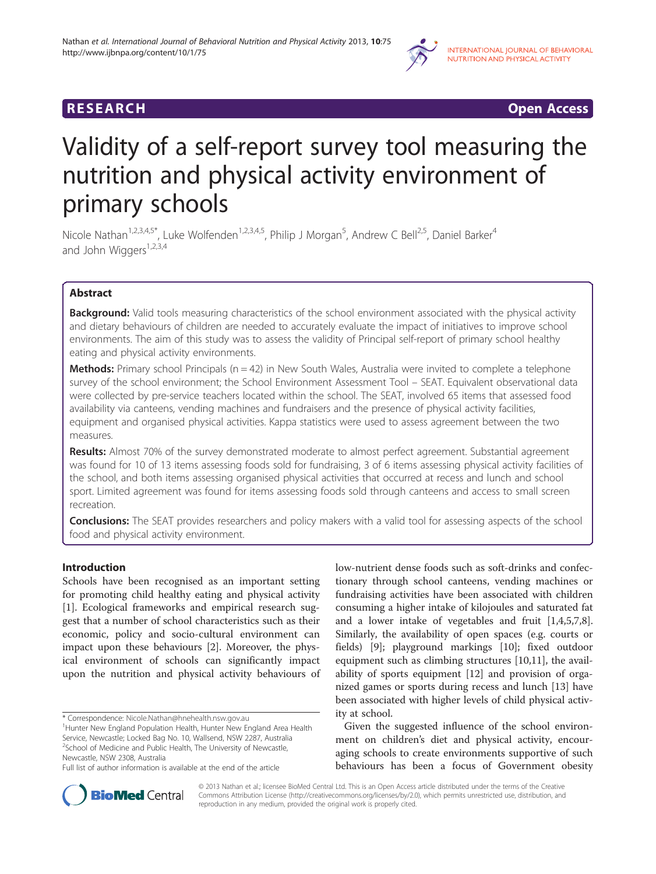

# **RESEARCH RESEARCH CONSUMING ACCESS**

# Validity of a self-report survey tool measuring the nutrition and physical activity environment of primary schools

Nicole Nathan<sup>1,2,3,4,5\*</sup>, Luke Wolfenden<sup>1,2,3,4,5</sup>, Philip J Morgan<sup>5</sup>, Andrew C Bell<sup>2,5</sup>, Daniel Barker<sup>4</sup> and John Wiggers<sup>1,2,3,4</sup>

## Abstract

Background: Valid tools measuring characteristics of the school environment associated with the physical activity and dietary behaviours of children are needed to accurately evaluate the impact of initiatives to improve school environments. The aim of this study was to assess the validity of Principal self-report of primary school healthy eating and physical activity environments.

**Methods:** Primary school Principals ( $n = 42$ ) in New South Wales, Australia were invited to complete a telephone survey of the school environment; the School Environment Assessment Tool – SEAT. Equivalent observational data were collected by pre-service teachers located within the school. The SEAT, involved 65 items that assessed food availability via canteens, vending machines and fundraisers and the presence of physical activity facilities, equipment and organised physical activities. Kappa statistics were used to assess agreement between the two measures.

Results: Almost 70% of the survey demonstrated moderate to almost perfect agreement. Substantial agreement was found for 10 of 13 items assessing foods sold for fundraising, 3 of 6 items assessing physical activity facilities of the school, and both items assessing organised physical activities that occurred at recess and lunch and school sport. Limited agreement was found for items assessing foods sold through canteens and access to small screen recreation.

**Conclusions:** The SEAT provides researchers and policy makers with a valid tool for assessing aspects of the school food and physical activity environment.

## Introduction

Schools have been recognised as an important setting for promoting child healthy eating and physical activity [[1\]](#page-7-0). Ecological frameworks and empirical research suggest that a number of school characteristics such as their economic, policy and socio-cultural environment can impact upon these behaviours [[2\]](#page-7-0). Moreover, the physical environment of schools can significantly impact upon the nutrition and physical activity behaviours of

<sup>1</sup> Hunter New England Population Health, Hunter New England Area Health Service, Newcastle; Locked Bag No. 10, Wallsend, NSW 2287, Australia <sup>2</sup>School of Medicine and Public Health, The University of Newcastle, Newcastle, NSW 2308, Australia

low-nutrient dense foods such as soft-drinks and confectionary through school canteens, vending machines or fundraising activities have been associated with children consuming a higher intake of kilojoules and saturated fat and a lower intake of vegetables and fruit [\[1,4,5,7,8](#page-7-0)]. Similarly, the availability of open spaces (e.g. courts or fields) [\[9](#page-7-0)]; playground markings [\[10\]](#page-7-0); fixed outdoor equipment such as climbing structures [[10](#page-7-0),[11](#page-7-0)], the availability of sports equipment [\[12](#page-7-0)] and provision of organized games or sports during recess and lunch [[13\]](#page-7-0) have been associated with higher levels of child physical activity at school.

Given the suggested influence of the school environment on children's diet and physical activity, encouraging schools to create environments supportive of such behaviours has been a focus of Government obesity



© 2013 Nathan et al.; licensee BioMed Central Ltd. This is an Open Access article distributed under the terms of the Creative Commons Attribution License [\(http://creativecommons.org/licenses/by/2.0\)](http://creativecommons.org/licenses/by/2.0), which permits unrestricted use, distribution, and reproduction in any medium, provided the original work is properly cited.

<sup>\*</sup> Correspondence: [Nicole.Nathan@hnehealth.nsw.gov.au](mailto:Nicole.Nathan@hnehealth.nsw.gov.au) <sup>1</sup>

Full list of author information is available at the end of the article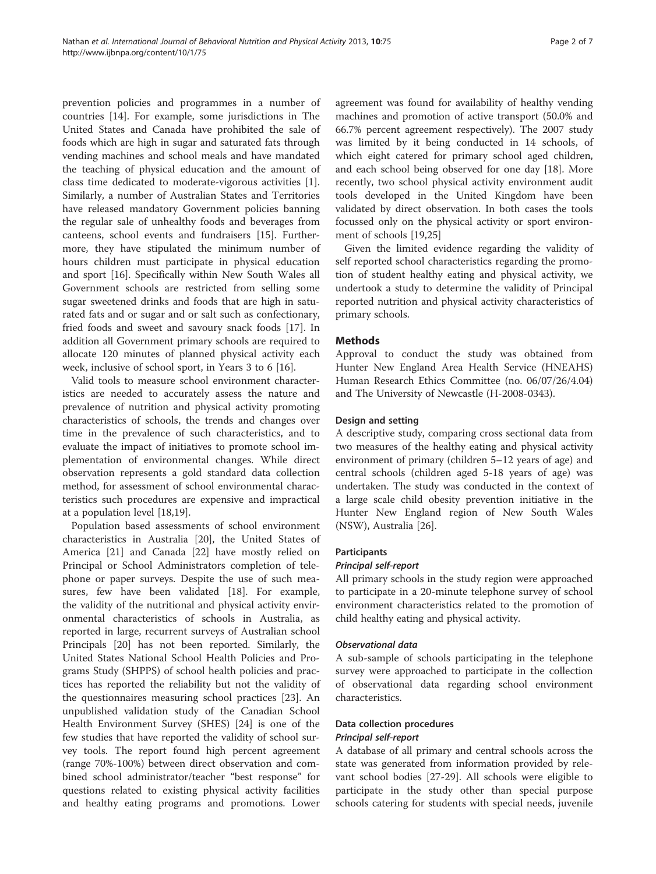prevention policies and programmes in a number of countries [\[14](#page-7-0)]. For example, some jurisdictions in The United States and Canada have prohibited the sale of foods which are high in sugar and saturated fats through vending machines and school meals and have mandated the teaching of physical education and the amount of class time dedicated to moderate-vigorous activities [\[1](#page-7-0)]. Similarly, a number of Australian States and Territories have released mandatory Government policies banning the regular sale of unhealthy foods and beverages from canteens, school events and fundraisers [\[15\]](#page-7-0). Furthermore, they have stipulated the minimum number of hours children must participate in physical education and sport [[16](#page-7-0)]. Specifically within New South Wales all Government schools are restricted from selling some sugar sweetened drinks and foods that are high in saturated fats and or sugar and or salt such as confectionary, fried foods and sweet and savoury snack foods [[17](#page-7-0)]. In addition all Government primary schools are required to allocate 120 minutes of planned physical activity each week, inclusive of school sport, in Years 3 to 6 [[16\]](#page-7-0).

Valid tools to measure school environment characteristics are needed to accurately assess the nature and prevalence of nutrition and physical activity promoting characteristics of schools, the trends and changes over time in the prevalence of such characteristics, and to evaluate the impact of initiatives to promote school implementation of environmental changes. While direct observation represents a gold standard data collection method, for assessment of school environmental characteristics such procedures are expensive and impractical at a population level [\[18,19\]](#page-7-0).

Population based assessments of school environment characteristics in Australia [[20\]](#page-7-0), the United States of America [[21\]](#page-7-0) and Canada [\[22](#page-7-0)] have mostly relied on Principal or School Administrators completion of telephone or paper surveys. Despite the use of such measures, few have been validated [[18\]](#page-7-0). For example, the validity of the nutritional and physical activity environmental characteristics of schools in Australia, as reported in large, recurrent surveys of Australian school Principals [\[20\]](#page-7-0) has not been reported. Similarly, the United States National School Health Policies and Programs Study (SHPPS) of school health policies and practices has reported the reliability but not the validity of the questionnaires measuring school practices [[23](#page-7-0)]. An unpublished validation study of the Canadian School Health Environment Survey (SHES) [[24](#page-7-0)] is one of the few studies that have reported the validity of school survey tools. The report found high percent agreement (range 70%-100%) between direct observation and combined school administrator/teacher "best response" for questions related to existing physical activity facilities and healthy eating programs and promotions. Lower

agreement was found for availability of healthy vending machines and promotion of active transport (50.0% and 66.7% percent agreement respectively). The 2007 study was limited by it being conducted in 14 schools, of which eight catered for primary school aged children, and each school being observed for one day [\[18](#page-7-0)]. More recently, two school physical activity environment audit tools developed in the United Kingdom have been validated by direct observation. In both cases the tools focussed only on the physical activity or sport environment of schools [[19,25\]](#page-7-0)

Given the limited evidence regarding the validity of self reported school characteristics regarding the promotion of student healthy eating and physical activity, we undertook a study to determine the validity of Principal reported nutrition and physical activity characteristics of primary schools.

## Methods

Approval to conduct the study was obtained from Hunter New England Area Health Service (HNEAHS) Human Research Ethics Committee (no. 06/07/26/4.04) and The University of Newcastle (H-2008-0343).

## Design and setting

A descriptive study, comparing cross sectional data from two measures of the healthy eating and physical activity environment of primary (children 5–12 years of age) and central schools (children aged 5-18 years of age) was undertaken. The study was conducted in the context of a large scale child obesity prevention initiative in the Hunter New England region of New South Wales (NSW), Australia [[26](#page-7-0)].

## **Participants**

## Principal self-report

All primary schools in the study region were approached to participate in a 20-minute telephone survey of school environment characteristics related to the promotion of child healthy eating and physical activity.

## Observational data

A sub-sample of schools participating in the telephone survey were approached to participate in the collection of observational data regarding school environment characteristics.

# Data collection procedures

## Principal self-report

A database of all primary and central schools across the state was generated from information provided by relevant school bodies [[27](#page-7-0)-[29\]](#page-7-0). All schools were eligible to participate in the study other than special purpose schools catering for students with special needs, juvenile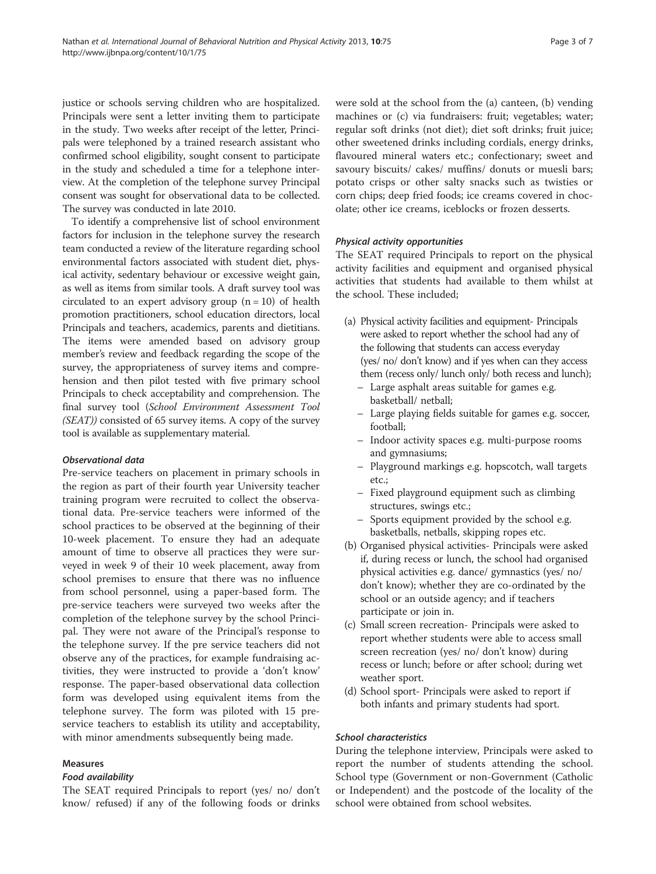justice or schools serving children who are hospitalized. Principals were sent a letter inviting them to participate in the study. Two weeks after receipt of the letter, Principals were telephoned by a trained research assistant who confirmed school eligibility, sought consent to participate in the study and scheduled a time for a telephone interview. At the completion of the telephone survey Principal consent was sought for observational data to be collected. The survey was conducted in late 2010.

To identify a comprehensive list of school environment factors for inclusion in the telephone survey the research team conducted a review of the literature regarding school environmental factors associated with student diet, physical activity, sedentary behaviour or excessive weight gain, as well as items from similar tools. A draft survey tool was circulated to an expert advisory group  $(n = 10)$  of health promotion practitioners, school education directors, local Principals and teachers, academics, parents and dietitians. The items were amended based on advisory group member's review and feedback regarding the scope of the survey, the appropriateness of survey items and comprehension and then pilot tested with five primary school Principals to check acceptability and comprehension. The final survey tool (School Environment Assessment Tool (SEAT)) consisted of 65 survey items. A copy of the survey tool is available as supplementary material.

## Observational data

Pre-service teachers on placement in primary schools in the region as part of their fourth year University teacher training program were recruited to collect the observational data. Pre-service teachers were informed of the school practices to be observed at the beginning of their 10-week placement. To ensure they had an adequate amount of time to observe all practices they were surveyed in week 9 of their 10 week placement, away from school premises to ensure that there was no influence from school personnel, using a paper-based form. The pre-service teachers were surveyed two weeks after the completion of the telephone survey by the school Principal. They were not aware of the Principal's response to the telephone survey. If the pre service teachers did not observe any of the practices, for example fundraising activities, they were instructed to provide a 'don't know' response. The paper-based observational data collection form was developed using equivalent items from the telephone survey. The form was piloted with 15 preservice teachers to establish its utility and acceptability, with minor amendments subsequently being made.

## Measures

## Food availability

The SEAT required Principals to report (yes/ no/ don't know/ refused) if any of the following foods or drinks were sold at the school from the (a) canteen, (b) vending machines or (c) via fundraisers: fruit; vegetables; water; regular soft drinks (not diet); diet soft drinks; fruit juice; other sweetened drinks including cordials, energy drinks, flavoured mineral waters etc.; confectionary; sweet and savoury biscuits/ cakes/ muffins/ donuts or muesli bars; potato crisps or other salty snacks such as twisties or corn chips; deep fried foods; ice creams covered in chocolate; other ice creams, iceblocks or frozen desserts.

## Physical activity opportunities

The SEAT required Principals to report on the physical activity facilities and equipment and organised physical activities that students had available to them whilst at the school. These included;

- (a) Physical activity facilities and equipment- Principals were asked to report whether the school had any of the following that students can access everyday (yes/ no/ don't know) and if yes when can they access them (recess only/ lunch only/ both recess and lunch);
	- Large asphalt areas suitable for games e.g. basketball/ netball;
	- Large playing fields suitable for games e.g. soccer, football;
	- Indoor activity spaces e.g. multi-purpose rooms and gymnasiums;
	- Playground markings e.g. hopscotch, wall targets etc.;
	- Fixed playground equipment such as climbing structures, swings etc.;
	- Sports equipment provided by the school e.g. basketballs, netballs, skipping ropes etc.
- (b) Organised physical activities- Principals were asked if, during recess or lunch, the school had organised physical activities e.g. dance/ gymnastics (yes/ no/ don't know); whether they are co-ordinated by the school or an outside agency; and if teachers participate or join in.
- (c) Small screen recreation- Principals were asked to report whether students were able to access small screen recreation (yes/ no/ don't know) during recess or lunch; before or after school; during wet weather sport.
- (d) School sport- Principals were asked to report if both infants and primary students had sport.

## School characteristics

During the telephone interview, Principals were asked to report the number of students attending the school. School type (Government or non-Government (Catholic or Independent) and the postcode of the locality of the school were obtained from school websites.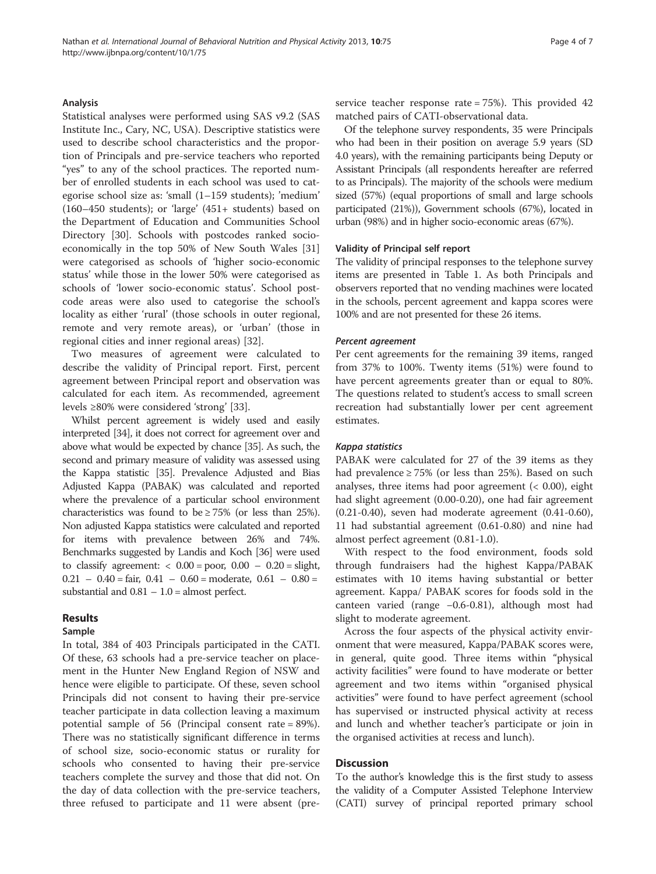### Analysis

Statistical analyses were performed using SAS v9.2 (SAS Institute Inc., Cary, NC, USA). Descriptive statistics were used to describe school characteristics and the proportion of Principals and pre-service teachers who reported "yes" to any of the school practices. The reported number of enrolled students in each school was used to categorise school size as: 'small (1–159 students); 'medium' (160–450 students); or 'large' (451+ students) based on the Department of Education and Communities School Directory [\[30](#page-7-0)]. Schools with postcodes ranked socioeconomically in the top 50% of New South Wales [[31](#page-7-0)] were categorised as schools of 'higher socio-economic status' while those in the lower 50% were categorised as schools of 'lower socio-economic status'. School postcode areas were also used to categorise the school's locality as either 'rural' (those schools in outer regional, remote and very remote areas), or 'urban' (those in regional cities and inner regional areas) [\[32](#page-7-0)].

Two measures of agreement were calculated to describe the validity of Principal report. First, percent agreement between Principal report and observation was calculated for each item. As recommended, agreement levels ≥80% were considered 'strong' [\[33\]](#page-7-0).

Whilst percent agreement is widely used and easily interpreted [[34](#page-7-0)], it does not correct for agreement over and above what would be expected by chance [\[35](#page-7-0)]. As such, the second and primary measure of validity was assessed using the Kappa statistic [\[35\]](#page-7-0). Prevalence Adjusted and Bias Adjusted Kappa (PABAK) was calculated and reported where the prevalence of a particular school environment characteristics was found to be  $\geq$  75% (or less than 25%). Non adjusted Kappa statistics were calculated and reported for items with prevalence between 26% and 74%. Benchmarks suggested by Landis and Koch [\[36\]](#page-7-0) were used to classify agreement:  $< 0.00 =$  poor,  $0.00 - 0.20 =$  slight,  $0.21 - 0.40 = \text{fair}, 0.41 - 0.60 = \text{moderate}, 0.61 - 0.80 =$ substantial and  $0.81 - 1.0 =$  almost perfect.

## Results

### Sample

In total, 384 of 403 Principals participated in the CATI. Of these, 63 schools had a pre-service teacher on placement in the Hunter New England Region of NSW and hence were eligible to participate. Of these, seven school Principals did not consent to having their pre-service teacher participate in data collection leaving a maximum potential sample of 56 (Principal consent rate = 89%). There was no statistically significant difference in terms of school size, socio-economic status or rurality for schools who consented to having their pre-service teachers complete the survey and those that did not. On the day of data collection with the pre-service teachers, three refused to participate and 11 were absent (preservice teacher response rate = 75%). This provided 42 matched pairs of CATI-observational data.

Of the telephone survey respondents, 35 were Principals who had been in their position on average 5.9 years (SD 4.0 years), with the remaining participants being Deputy or Assistant Principals (all respondents hereafter are referred to as Principals). The majority of the schools were medium sized (57%) (equal proportions of small and large schools participated (21%)), Government schools (67%), located in urban (98%) and in higher socio-economic areas (67%).

#### Validity of Principal self report

The validity of principal responses to the telephone survey items are presented in Table [1.](#page-5-0) As both Principals and observers reported that no vending machines were located in the schools, percent agreement and kappa scores were 100% and are not presented for these 26 items.

#### Percent agreement

Per cent agreements for the remaining 39 items, ranged from 37% to 100%. Twenty items (51%) were found to have percent agreements greater than or equal to 80%. The questions related to student's access to small screen recreation had substantially lower per cent agreement estimates.

#### Kappa statistics

PABAK were calculated for 27 of the 39 items as they had prevalence  $\geq 75\%$  (or less than 25%). Based on such analyses, three items had poor agreement  $( $0.00$ ), eight$ had slight agreement (0.00-0.20), one had fair agreement (0.21-0.40), seven had moderate agreement (0.41-0.60), 11 had substantial agreement (0.61-0.80) and nine had almost perfect agreement (0.81-1.0).

With respect to the food environment, foods sold through fundraisers had the highest Kappa/PABAK estimates with 10 items having substantial or better agreement. Kappa/ PABAK scores for foods sold in the canteen varied (range −0.6-0.81), although most had slight to moderate agreement.

Across the four aspects of the physical activity environment that were measured, Kappa/PABAK scores were, in general, quite good. Three items within "physical activity facilities" were found to have moderate or better agreement and two items within "organised physical activities" were found to have perfect agreement (school has supervised or instructed physical activity at recess and lunch and whether teacher's participate or join in the organised activities at recess and lunch).

## **Discussion**

To the author's knowledge this is the first study to assess the validity of a Computer Assisted Telephone Interview (CATI) survey of principal reported primary school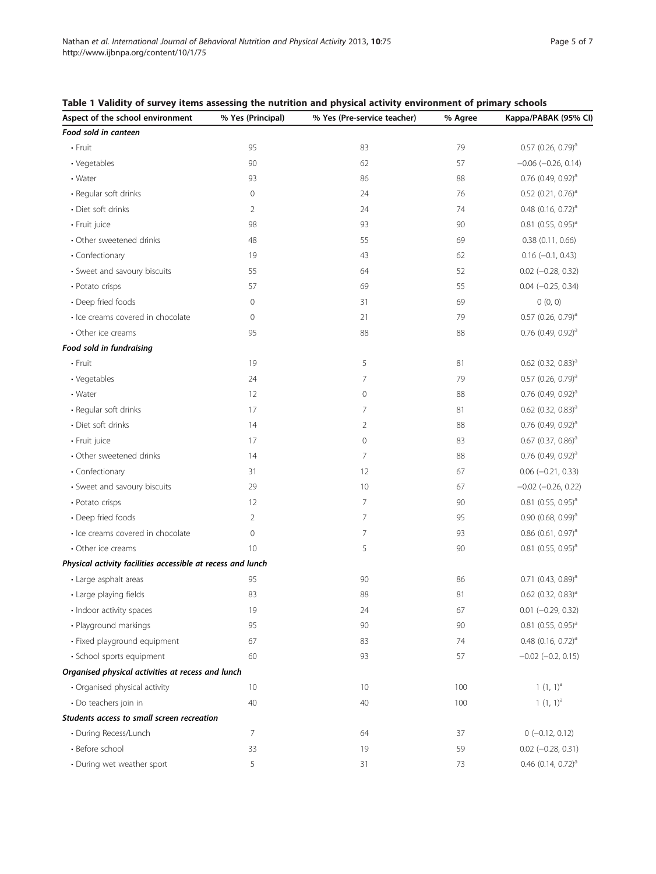| Aspect of the school environment                            | % Yes (Principal) | % Yes (Pre-service teacher) | % Agree | Kappa/PABAK (95% CI)             |
|-------------------------------------------------------------|-------------------|-----------------------------|---------|----------------------------------|
| Food sold in canteen                                        |                   |                             |         |                                  |
| • Fruit                                                     | 95                | 83                          | 79      | $0.57$ (0.26, 0.79) <sup>a</sup> |
| • Vegetables                                                | 90                | 62                          | 57      | $-0.06$ $(-0.26, 0.14)$          |
| • Water                                                     | 93                | 86                          | 88      | $0.76$ (0.49, 0.92) <sup>a</sup> |
| • Regular soft drinks                                       | 0                 | 24                          | 76      | $0.52$ (0.21, 0.76) <sup>a</sup> |
| • Diet soft drinks                                          | 2                 | 24                          | 74      | 0.48 (0.16, 0.72) <sup>a</sup>   |
| · Fruit juice                                               | 98                | 93                          | 90      | $0.81$ (0.55, 0.95) <sup>a</sup> |
| • Other sweetened drinks                                    | 48                | 55                          | 69      | 0.38(0.11, 0.66)                 |
| • Confectionary                                             | 19                | 43                          | 62      | $0.16 (-0.1, 0.43)$              |
| • Sweet and savoury biscuits                                | 55                | 64                          | 52      | $0.02$ (-0.28, 0.32)             |
| • Potato crisps                                             | 57                | 69                          | 55      | $0.04 (-0.25, 0.34)$             |
| • Deep fried foods                                          | 0                 | 31                          | 69      | 0(0, 0)                          |
| · Ice creams covered in chocolate                           | 0                 | 21                          | 79      | $0.57$ (0.26, 0.79) <sup>a</sup> |
| • Other ice creams                                          | 95                | 88                          | 88      | $0.76$ (0.49, 0.92) <sup>a</sup> |
| Food sold in fundraising                                    |                   |                             |         |                                  |
| • Fruit                                                     | 19                | 5                           | 81      | $0.62$ (0.32, 0.83) <sup>a</sup> |
| • Vegetables                                                | 24                | 7                           | 79      | $0.57$ (0.26, 0.79) <sup>a</sup> |
| • Water                                                     | 12                | 0                           | 88      | $0.76$ (0.49, 0.92) <sup>a</sup> |
| • Regular soft drinks                                       | 17                | 7                           | 81      | $0.62$ (0.32, 0.83) <sup>a</sup> |
| • Diet soft drinks                                          | 14                | $\overline{2}$              | 88      | $0.76$ (0.49, 0.92) <sup>a</sup> |
| • Fruit juice                                               | 17                | $\circ$                     | 83      | $0.67$ (0.37, 0.86) <sup>a</sup> |
| • Other sweetened drinks                                    | 14                | $\overline{7}$              | 88      | $0.76$ (0.49, 0.92) <sup>a</sup> |
| • Confectionary                                             | 31                | 12                          | 67      | $0.06$ ( $-0.21$ , 0.33)         |
| • Sweet and savoury biscuits                                | 29                | 10                          | 67      | $-0.02$ $(-0.26, 0.22)$          |
| • Potato crisps                                             | 12                | $\overline{7}$              | 90      | $0.81$ (0.55, 0.95) <sup>a</sup> |
| • Deep fried foods                                          | 2                 | 7                           | 95      | $0.90$ (0.68, 0.99) <sup>a</sup> |
| · Ice creams covered in chocolate                           | 0                 | 7                           | 93      | $0.86$ (0.61, 0.97) <sup>a</sup> |
| • Other ice creams                                          | 10                | 5                           | 90      | $0.81$ (0.55, 0.95) <sup>a</sup> |
| Physical activity facilities accessible at recess and lunch |                   |                             |         |                                  |
| • Large asphalt areas                                       | 95                | 90                          | 86      | $0.71$ (0.43, 0.89) <sup>a</sup> |
| • Large playing fields                                      | 83                | 88                          | 81      | $0.62$ (0.32, 0.83) <sup>a</sup> |
| · Indoor activity spaces                                    | 19                | 24                          | 67      | $0.01$ $(-0.29, 0.32)$           |
| • Playground markings                                       | 95                | 90                          | 90      | $0.81$ (0.55, 0.95) <sup>a</sup> |
| · Fixed playground equipment                                | 67                | 83                          | 74      | 0.48 $(0.16, 0.72)^a$            |
| · School sports equipment                                   | 60                | 93                          | 57      | $-0.02$ $(-0.2, 0.15)$           |
| Organised physical activities at recess and lunch           |                   |                             |         |                                  |
| • Organised physical activity                               | 10                | 10                          | 100     | $1(1, 1)^{a}$                    |
| • Do teachers join in                                       | 40                | 40                          | 100     | $1(1, 1)^a$                      |
| Students access to small screen recreation                  |                   |                             |         |                                  |
| • During Recess/Lunch                                       | 7                 | 64                          | 37      | $0 (-0.12, 0.12)$                |
| • Before school                                             | 33                | 19                          | 59      | $0.02$ (-0.28, 0.31)             |
| • During wet weather sport                                  | 5                 | 31                          | 73      | 0.46 $(0.14, 0.72)^{a}$          |

# <span id="page-5-0"></span>Table 1 Validity of survey items assessing the nutrition and physical activity environment of primary schools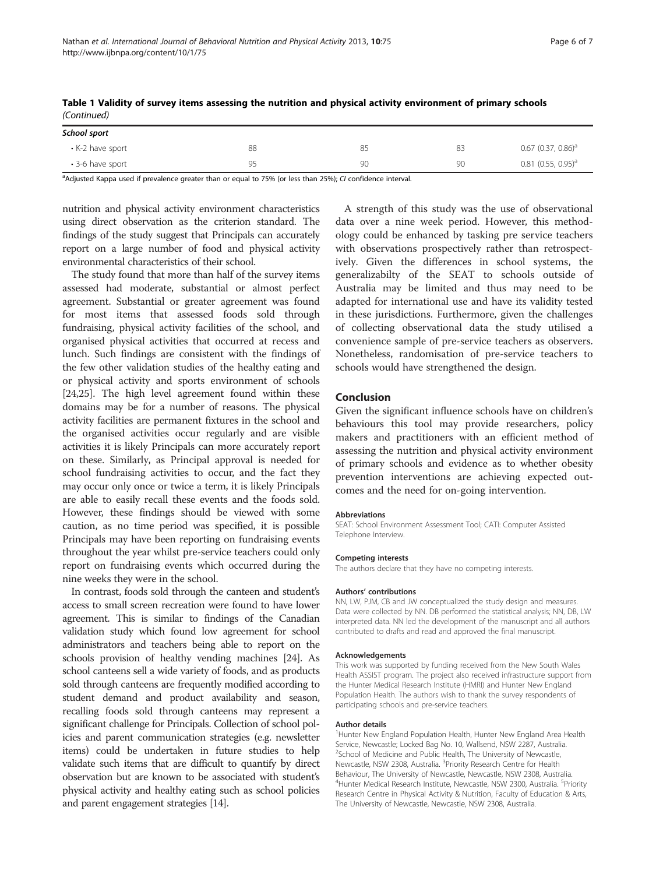| School sport     |    |    |    |                                  |
|------------------|----|----|----|----------------------------------|
| • K-2 have sport | 88 | 85 | 83 | $0.67$ (0.37, 0.86) <sup>a</sup> |
| • 3-6 have sport | 95 | 90 | 90 | $0.81$ (0.55, 0.95) <sup>a</sup> |

|             |  |  | Table 1 Validity of survey items assessing the nutrition and physical activity environment of primary schools |  |
|-------------|--|--|---------------------------------------------------------------------------------------------------------------|--|
| (Continued) |  |  |                                                                                                               |  |

<sup>a</sup>Adjusted Kappa used if prevalence greater than or equal to 75% (or less than 25%); CI confidence interval.

nutrition and physical activity environment characteristics using direct observation as the criterion standard. The findings of the study suggest that Principals can accurately report on a large number of food and physical activity environmental characteristics of their school.

The study found that more than half of the survey items assessed had moderate, substantial or almost perfect agreement. Substantial or greater agreement was found for most items that assessed foods sold through fundraising, physical activity facilities of the school, and organised physical activities that occurred at recess and lunch. Such findings are consistent with the findings of the few other validation studies of the healthy eating and or physical activity and sports environment of schools [[24,25](#page-7-0)]. The high level agreement found within these domains may be for a number of reasons. The physical activity facilities are permanent fixtures in the school and the organised activities occur regularly and are visible activities it is likely Principals can more accurately report on these. Similarly, as Principal approval is needed for school fundraising activities to occur, and the fact they may occur only once or twice a term, it is likely Principals are able to easily recall these events and the foods sold. However, these findings should be viewed with some caution, as no time period was specified, it is possible Principals may have been reporting on fundraising events throughout the year whilst pre-service teachers could only report on fundraising events which occurred during the nine weeks they were in the school.

In contrast, foods sold through the canteen and student's access to small screen recreation were found to have lower agreement. This is similar to findings of the Canadian validation study which found low agreement for school administrators and teachers being able to report on the schools provision of healthy vending machines [\[24\]](#page-7-0). As school canteens sell a wide variety of foods, and as products sold through canteens are frequently modified according to student demand and product availability and season, recalling foods sold through canteens may represent a significant challenge for Principals. Collection of school policies and parent communication strategies (e.g. newsletter items) could be undertaken in future studies to help validate such items that are difficult to quantify by direct observation but are known to be associated with student's physical activity and healthy eating such as school policies and parent engagement strategies [\[14\]](#page-7-0).

A strength of this study was the use of observational data over a nine week period. However, this methodology could be enhanced by tasking pre service teachers with observations prospectively rather than retrospectively. Given the differences in school systems, the generalizabilty of the SEAT to schools outside of Australia may be limited and thus may need to be adapted for international use and have its validity tested in these jurisdictions. Furthermore, given the challenges of collecting observational data the study utilised a convenience sample of pre-service teachers as observers. Nonetheless, randomisation of pre-service teachers to schools would have strengthened the design.

### Conclusion

Given the significant influence schools have on children's behaviours this tool may provide researchers, policy makers and practitioners with an efficient method of assessing the nutrition and physical activity environment of primary schools and evidence as to whether obesity prevention interventions are achieving expected outcomes and the need for on-going intervention.

#### Abbreviations

SEAT: School Environment Assessment Tool; CATI: Computer Assisted Telephone Interview.

#### Competing interests

The authors declare that they have no competing interests.

#### Authors' contributions

NN, LW, PJM, CB and JW conceptualized the study design and measures. Data were collected by NN. DB performed the statistical analysis; NN, DB, LW interpreted data. NN led the development of the manuscript and all authors contributed to drafts and read and approved the final manuscript.

#### Acknowledgements

This work was supported by funding received from the New South Wales Health ASSIST program. The project also received infrastructure support from the Hunter Medical Research Institute (HMRI) and Hunter New England Population Health. The authors wish to thank the survey respondents of participating schools and pre-service teachers.

#### Author details

<sup>1</sup> Hunter New England Population Health, Hunter New England Area Health Service, Newcastle; Locked Bag No. 10, Wallsend, NSW 2287, Australia. <sup>2</sup>School of Medicine and Public Health, The University of Newcastle Newcastle, NSW 2308, Australia. <sup>3</sup>Priority Research Centre for Health Behaviour, The University of Newcastle, Newcastle, NSW 2308, Australia. <sup>4</sup>Hunter Medical Research Institute, Newcastle, NSW 2300, Australia. <sup>5</sup>Priority Research Centre in Physical Activity & Nutrition, Faculty of Education & Arts, The University of Newcastle, Newcastle, NSW 2308, Australia.